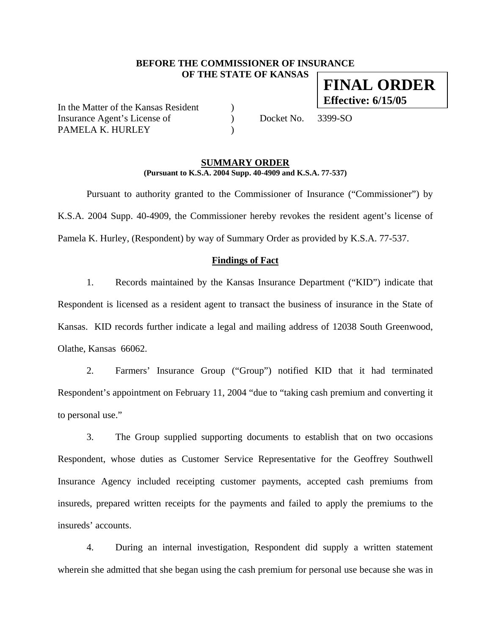## **BEFORE THE COMMISSIONER OF INSURANCE OF THE STATE OF KANSAS FINAL ORDER**

In the Matter of the Kansas Resident ) Insurance Agent's License of  $Docket No. 3399-SO$ PAMELA K. HURLEY

**Effective: 6/15/05**

#### **SUMMARY ORDER (Pursuant to K.S.A. 2004 Supp. 40-4909 and K.S.A. 77-537)**

 Pursuant to authority granted to the Commissioner of Insurance ("Commissioner") by K.S.A. 2004 Supp. 40-4909, the Commissioner hereby revokes the resident agent's license of Pamela K. Hurley, (Respondent) by way of Summary Order as provided by K.S.A. 77-537.

#### **Findings of Fact**

1. Records maintained by the Kansas Insurance Department ("KID") indicate that Respondent is licensed as a resident agent to transact the business of insurance in the State of Kansas. KID records further indicate a legal and mailing address of 12038 South Greenwood, Olathe, Kansas 66062.

2. Farmers' Insurance Group ("Group") notified KID that it had terminated Respondent's appointment on February 11, 2004 "due to "taking cash premium and converting it to personal use."

3. The Group supplied supporting documents to establish that on two occasions Respondent, whose duties as Customer Service Representative for the Geoffrey Southwell Insurance Agency included receipting customer payments, accepted cash premiums from insureds, prepared written receipts for the payments and failed to apply the premiums to the insureds' accounts.

4. During an internal investigation, Respondent did supply a written statement wherein she admitted that she began using the cash premium for personal use because she was in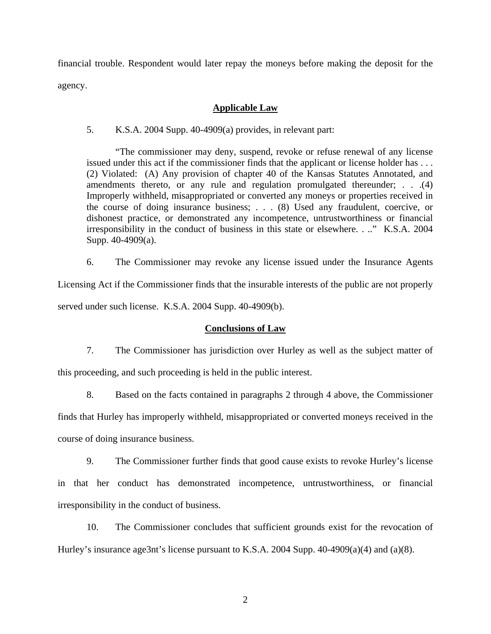financial trouble. Respondent would later repay the moneys before making the deposit for the agency.

### **Applicable Law**

5. K.S.A. 2004 Supp. 40-4909(a) provides, in relevant part:

"The commissioner may deny, suspend, revoke or refuse renewal of any license issued under this act if the commissioner finds that the applicant or license holder has . . . (2) Violated: (A) Any provision of chapter 40 of the Kansas Statutes Annotated, and amendments thereto, or any rule and regulation promulgated thereunder; . . .(4) Improperly withheld, misappropriated or converted any moneys or properties received in the course of doing insurance business; . . . (8) Used any fraudulent, coercive, or dishonest practice, or demonstrated any incompetence, untrustworthiness or financial irresponsibility in the conduct of business in this state or elsewhere. . .." K.S.A. 2004 Supp. 40-4909(a).

6. The Commissioner may revoke any license issued under the Insurance Agents Licensing Act if the Commissioner finds that the insurable interests of the public are not properly

served under such license. K.S.A. 2004 Supp. 40-4909(b).

## **Conclusions of Law**

7. The Commissioner has jurisdiction over Hurley as well as the subject matter of this proceeding, and such proceeding is held in the public interest.

8. Based on the facts contained in paragraphs 2 through 4 above, the Commissioner finds that Hurley has improperly withheld, misappropriated or converted moneys received in the course of doing insurance business.

9. The Commissioner further finds that good cause exists to revoke Hurley's license in that her conduct has demonstrated incompetence, untrustworthiness, or financial irresponsibility in the conduct of business.

10. The Commissioner concludes that sufficient grounds exist for the revocation of Hurley's insurance age3nt's license pursuant to K.S.A. 2004 Supp. 40-4909(a)(4) and (a)(8).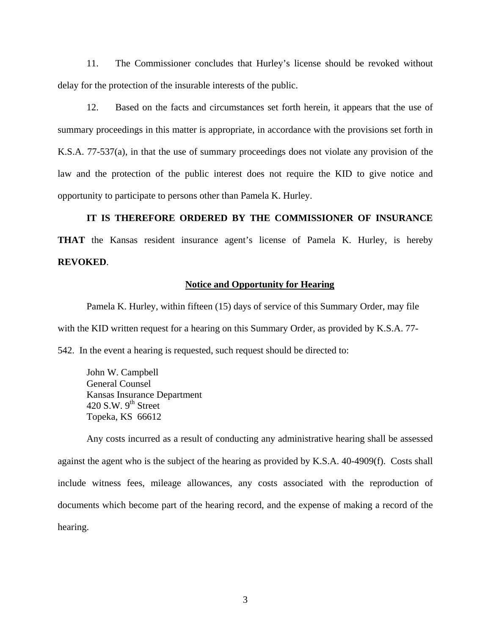11. The Commissioner concludes that Hurley's license should be revoked without delay for the protection of the insurable interests of the public.

12. Based on the facts and circumstances set forth herein, it appears that the use of summary proceedings in this matter is appropriate, in accordance with the provisions set forth in K.S.A. 77-537(a), in that the use of summary proceedings does not violate any provision of the law and the protection of the public interest does not require the KID to give notice and opportunity to participate to persons other than Pamela K. Hurley.

**IT IS THEREFORE ORDERED BY THE COMMISSIONER OF INSURANCE THAT** the Kansas resident insurance agent's license of Pamela K. Hurley, is hereby **REVOKED**.

#### **Notice and Opportunity for Hearing**

Pamela K. Hurley, within fifteen (15) days of service of this Summary Order, may file with the KID written request for a hearing on this Summary Order, as provided by K.S.A. 77- 542. In the event a hearing is requested, such request should be directed to:

 John W. Campbell General Counsel Kansas Insurance Department 420 S.W.  $9<sup>th</sup>$  Street Topeka, KS 66612

 Any costs incurred as a result of conducting any administrative hearing shall be assessed against the agent who is the subject of the hearing as provided by K.S.A. 40-4909(f). Costs shall include witness fees, mileage allowances, any costs associated with the reproduction of documents which become part of the hearing record, and the expense of making a record of the hearing.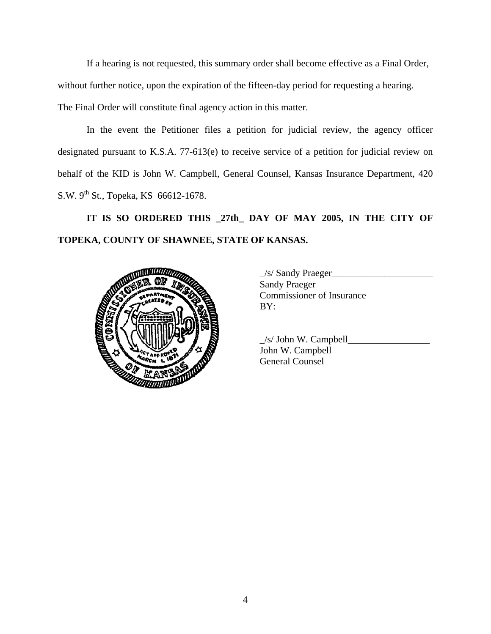If a hearing is not requested, this summary order shall become effective as a Final Order,

without further notice, upon the expiration of the fifteen-day period for requesting a hearing.

The Final Order will constitute final agency action in this matter.

In the event the Petitioner files a petition for judicial review, the agency officer designated pursuant to K.S.A. 77-613(e) to receive service of a petition for judicial review on behalf of the KID is John W. Campbell, General Counsel, Kansas Insurance Department, 420 S.W. 9<sup>th</sup> St., Topeka, KS 66612-1678.

**IT IS SO ORDERED THIS \_27th\_ DAY OF MAY 2005, IN THE CITY OF TOPEKA, COUNTY OF SHAWNEE, STATE OF KANSAS.** 



 $\frac{1}{s}$  Sandy Praeger Sandy Praeger Commissioner of Insurance

|                            | $/s$ John W. Campbell |
|----------------------------|-----------------------|
| <b>COLLEGE DESCRIPTION</b> | John W. Campbell      |
|                            | General Counsel       |